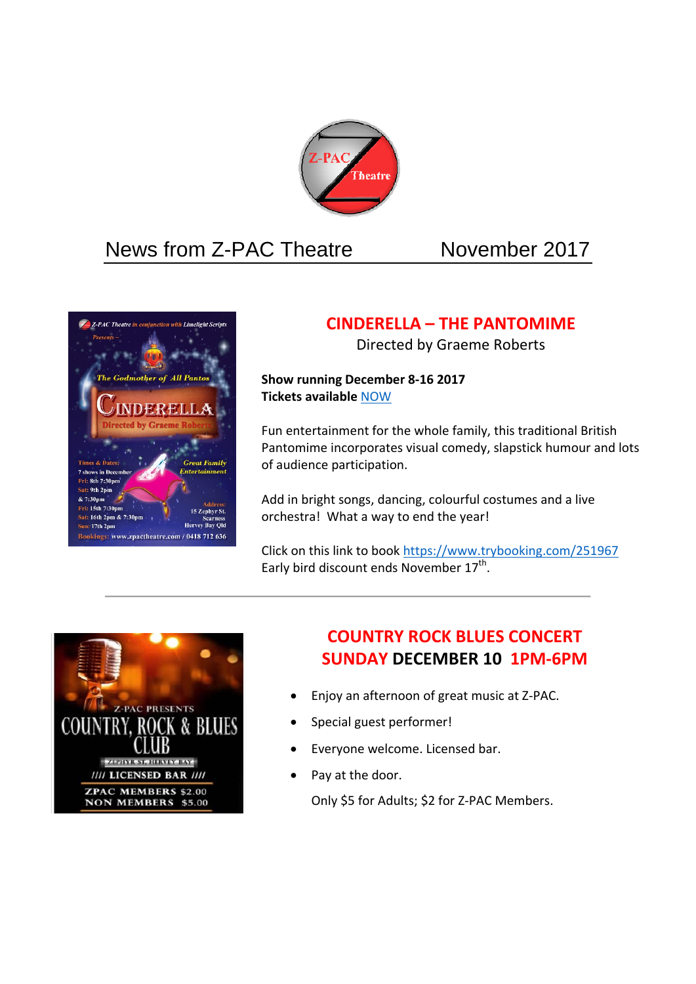

# News from Z-PAC Theatre November 2017



# **CINDERELLA – THE PANTOMIME**

Directed by Graeme Roberts

**Show running December 8‐16 2017 Tickets available** NOW

Fun entertainment for the whole family, this traditional British Pantomime incorporates visual comedy, slapstick humour and lots of audience participation.

Add in bright songs, dancing, colourful costumes and a live orchestra! What a way to end the year!

Click on this link to book https://www.trybooking.com/251967 Early bird discount ends November  $17^{th}$ .



# **COUNTRY ROCK BLUES CONCERT SUNDAY DECEMBER 10 1PM‐6PM**

- Enjoy an afternoon of great music at Z‐PAC.
- Special guest performer!
- Everyone welcome. Licensed bar.
- Pay at the door.

Only \$5 for Adults; \$2 for Z‐PAC Members.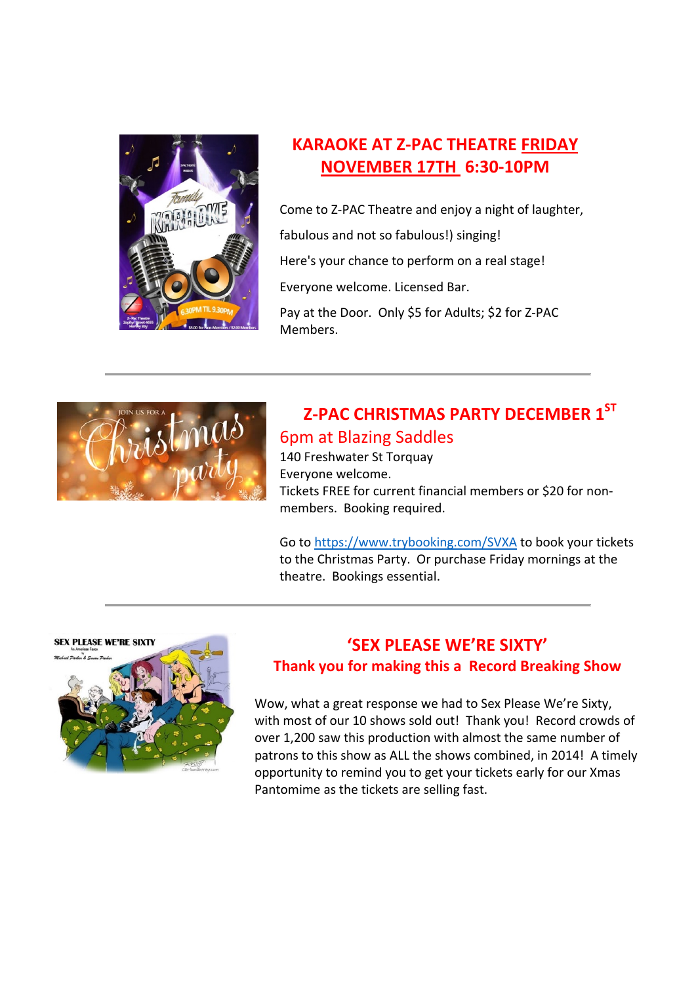

# **KARAOKE AT Z‐PAC THEATRE FRIDAY NOVEMBER 17TH 6:30‐10PM**

Come to Z‐PAC Theatre and enjoy a night of laughter, fabulous and not so fabulous!) singing! Here's your chance to perform on a real stage! Everyone welcome. Licensed Bar. Pay at the Door. Only \$5 for Adults; \$2 for Z‐PAC Members.



# **Z‐PAC CHRISTMAS PARTY DECEMBER 1ST** 6pm at Blazing Saddles

140 Freshwater St Torquay Everyone welcome. Tickets FREE for current financial members or \$20 for non‐ members. Booking required.

Go to https://www.trybooking.com/SVXA to book your tickets to the Christmas Party. Or purchase Friday mornings at the theatre. Bookings essential.



# **'SEX PLEASE WE'RE SIXTY' Thank you for making this a Record Breaking Show**

Wow, what a great response we had to Sex Please We're Sixty, with most of our 10 shows sold out! Thank you! Record crowds of over 1,200 saw this production with almost the same number of patrons to this show as ALL the shows combined, in 2014! A timely opportunity to remind you to get your tickets early for our Xmas Pantomime as the tickets are selling fast.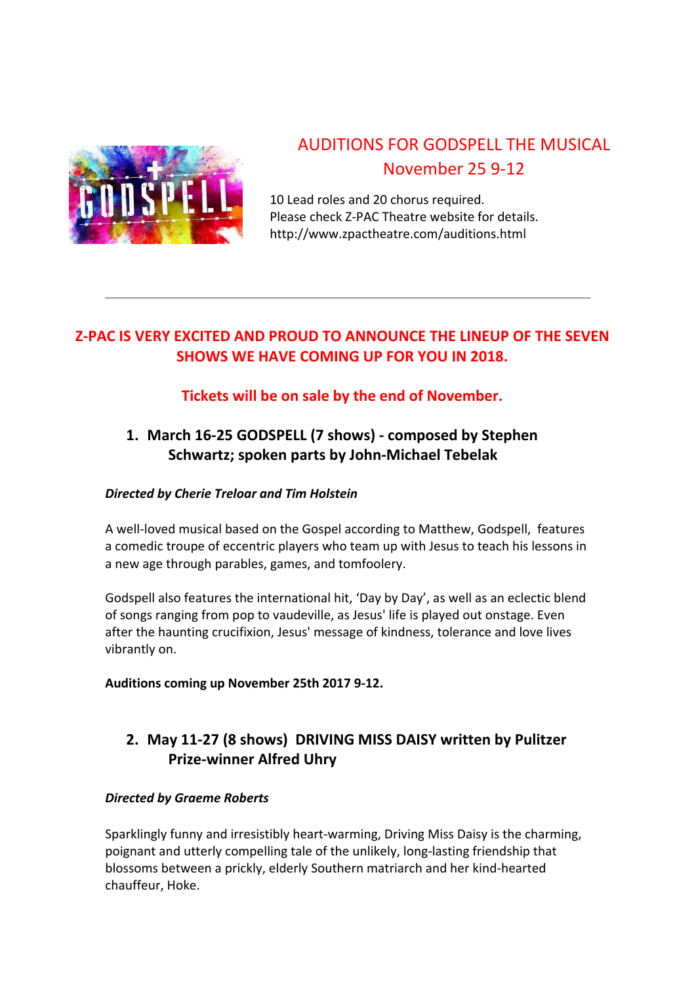

# AUDITIONS FOR GODSPELL THE MUSICAL November 25 9‐12

10 Lead roles and 20 chorus required. Please check Z‐PAC Theatre website for details. http://www.zpactheatre.com/auditions.html

# **Z‐PAC IS VERY EXCITED AND PROUD TO ANNOUNCE THE LINEUP OF THE SEVEN SHOWS WE HAVE COMING UP FOR YOU IN 2018.**

# **Tickets will be on sale by the end of November.**

# **1. March 16‐25 GODSPELL (7 shows) ‐ composed by Stephen Schwartz; spoken parts by John‐Michael Tebelak**

### *Directed by Cherie Treloar and Tim Holstein*

A well‐loved musical based on the Gospel according to Matthew, Godspell, features a comedic troupe of eccentric players who team up with Jesus to teach his lessons in a new age through parables, games, and tomfoolery.

Godspell also features the international hit, 'Day by Day', as well as an eclectic blend of songs ranging from pop to vaudeville, as Jesus' life is played out onstage. Even after the haunting crucifixion, Jesus' message of kindness, tolerance and love lives vibrantly on.

#### **Auditions coming up November 25th 2017 9‐12.**

# **2. May 11‐27 (8 shows) DRIVING MISS DAISY written by Pulitzer Prize‐winner Alfred Uhry**

#### *Directed by Graeme Roberts*

Sparklingly funny and irresistibly heart‐warming, Driving Miss Daisy is the charming, poignant and utterly compelling tale of the unlikely, long‐lasting friendship that blossoms between a prickly, elderly Southern matriarch and her kind‐hearted chauffeur, Hoke.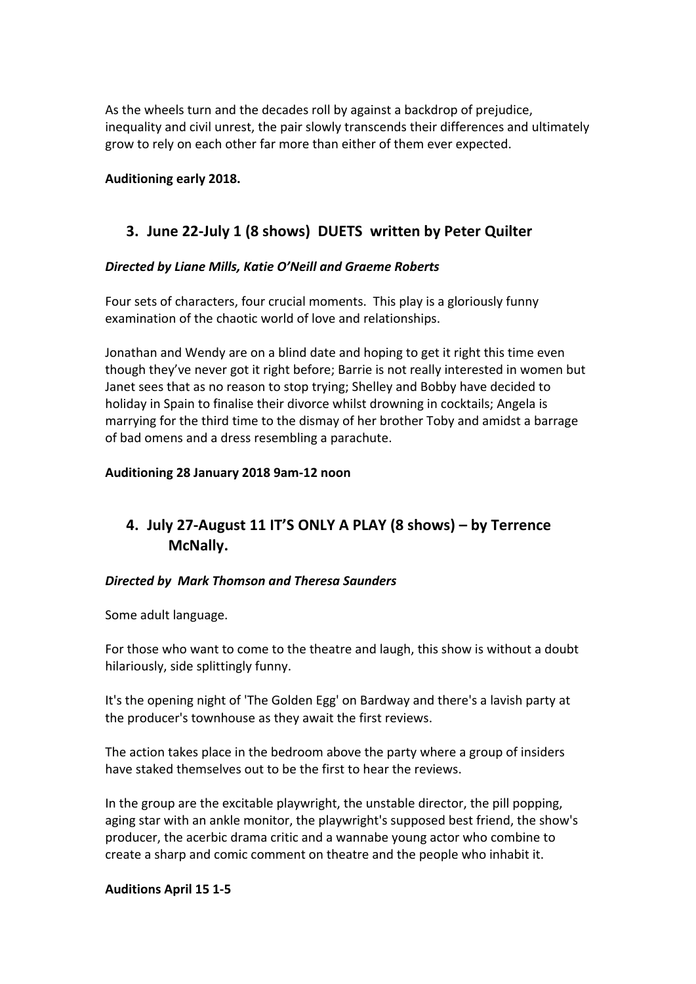As the wheels turn and the decades roll by against a backdrop of prejudice, inequality and civil unrest, the pair slowly transcends their differences and ultimately grow to rely on each other far more than either of them ever expected.

#### **Auditioning early 2018.**

### **3. June 22‐July 1 (8 shows) DUETS written by Peter Quilter**

#### *Directed by Liane Mills, Katie O'Neill and Graeme Roberts*

Four sets of characters, four crucial moments. This play is a gloriously funny examination of the chaotic world of love and relationships.

Jonathan and Wendy are on a blind date and hoping to get it right this time even though they've never got it right before; Barrie is not really interested in women but Janet sees that as no reason to stop trying; Shelley and Bobby have decided to holiday in Spain to finalise their divorce whilst drowning in cocktails; Angela is marrying for the third time to the dismay of her brother Toby and amidst a barrage of bad omens and a dress resembling a parachute.

#### **Auditioning 28 January 2018 9am‐12 noon**

# **4. July 27‐August 11 IT'S ONLY A PLAY (8 shows) – by Terrence McNally.**

#### *Directed by Mark Thomson and Theresa Saunders*

Some adult language.

For those who want to come to the theatre and laugh, this show is without a doubt hilariously, side splittingly funny.

It's the opening night of 'The Golden Egg' on Bardway and there's a lavish party at the producer's townhouse as they await the first reviews.

The action takes place in the bedroom above the party where a group of insiders have staked themselves out to be the first to hear the reviews.

In the group are the excitable playwright, the unstable director, the pill popping, aging star with an ankle monitor, the playwright's supposed best friend, the show's producer, the acerbic drama critic and a wannabe young actor who combine to create a sharp and comic comment on theatre and the people who inhabit it.

#### **Auditions April 15 1‐5**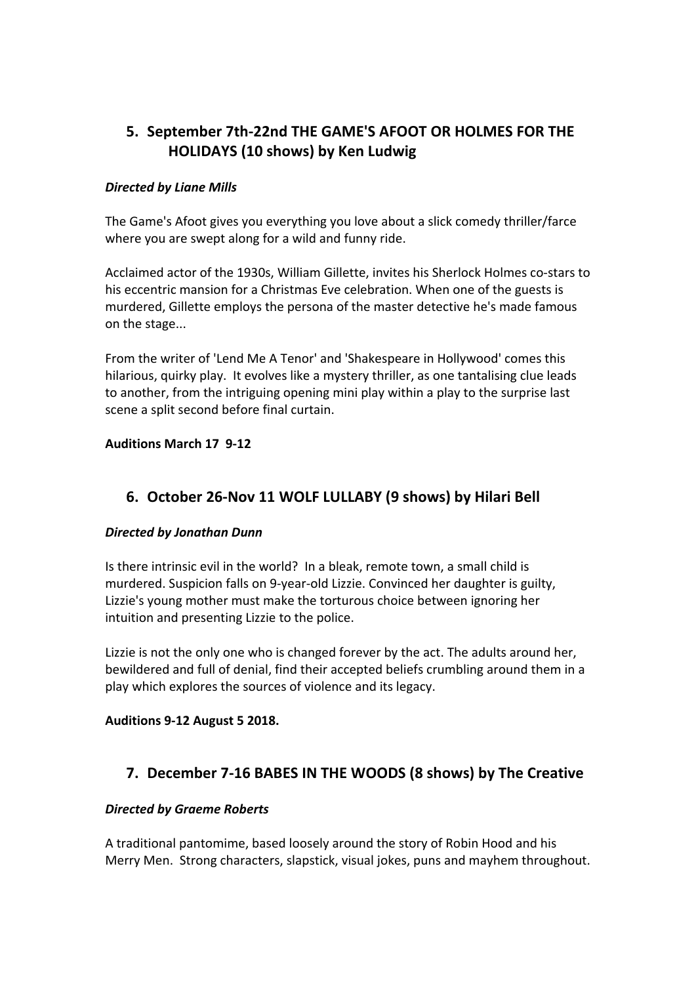# **5. September 7th‐22nd THE GAME'S AFOOT OR HOLMES FOR THE HOLIDAYS (10 shows) by Ken Ludwig**

#### *Directed by Liane Mills*

The Game's Afoot gives you everything you love about a slick comedy thriller/farce where you are swept along for a wild and funny ride.

Acclaimed actor of the 1930s, William Gillette, invites his Sherlock Holmes co‐stars to his eccentric mansion for a Christmas Eve celebration. When one of the guests is murdered, Gillette employs the persona of the master detective he's made famous on the stage...

From the writer of 'Lend Me A Tenor' and 'Shakespeare in Hollywood' comes this hilarious, quirky play. It evolves like a mystery thriller, as one tantalising clue leads to another, from the intriguing opening mini play within a play to the surprise last scene a split second before final curtain.

#### **Auditions March 17 9‐12**

### **6. October 26‐Nov 11 WOLF LULLABY (9 shows) by Hilari Bell**

#### *Directed by Jonathan Dunn*

Is there intrinsic evil in the world? In a bleak, remote town, a small child is murdered. Suspicion falls on 9‐year‐old Lizzie. Convinced her daughter is guilty, Lizzie's young mother must make the torturous choice between ignoring her intuition and presenting Lizzie to the police.

Lizzie is not the only one who is changed forever by the act. The adults around her, bewildered and full of denial, find their accepted beliefs crumbling around them in a play which explores the sources of violence and its legacy.

#### **Auditions 9‐12 August 5 2018.**

### **7. December 7‐16 BABES IN THE WOODS (8 shows) by The Creative**

#### *Directed by Graeme Roberts*

A traditional pantomime, based loosely around the story of Robin Hood and his Merry Men. Strong characters, slapstick, visual jokes, puns and mayhem throughout.